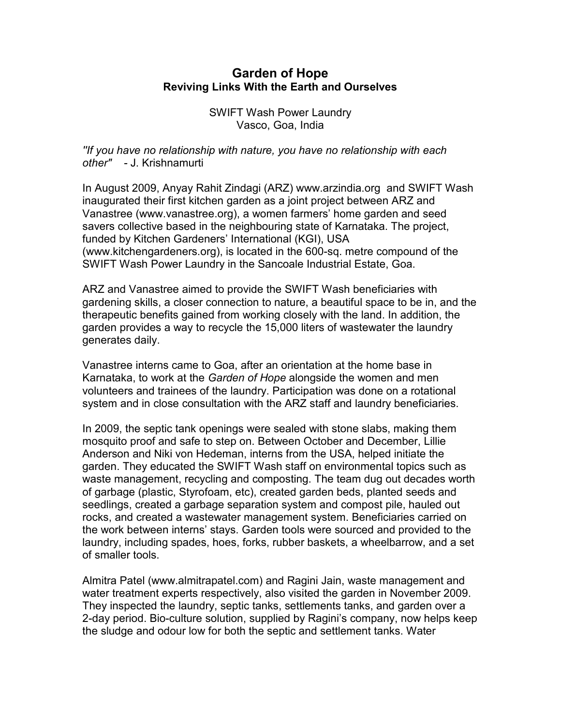## **Garden of Hope Reviving Links With the Earth and Ourselves**

SWIFT Wash Power Laundry Vasco, Goa, India

*''If you have no relationship with nature, you have no relationship with each other" -* J. Krishnamurti

In August 2009, Anyay Rahit Zindagi (ARZ) www.arzindia.org and SWIFT Wash inaugurated their first kitchen garden as a joint project between ARZ and Vanastree (www.vanastree.org), a women farmers' home garden and seed savers collective based in the neighbouring state of Karnataka. The project, funded by Kitchen Gardeners' International (KGI), USA (www.kitchengardeners.org), is located in the 600-sq. metre compound of the SWIFT Wash Power Laundry in the Sancoale Industrial Estate, Goa.

ARZ and Vanastree aimed to provide the SWIFT Wash beneficiaries with gardening skills, a closer connection to nature, a beautiful space to be in, and the therapeutic benefits gained from working closely with the land. In addition, the garden provides a way to recycle the 15,000 liters of wastewater the laundry generates daily.

Vanastree interns came to Goa, after an orientation at the home base in Karnataka, to work at the *Garden of Hope* alongside the women and men volunteers and trainees of the laundry. Participation was done on a rotational system and in close consultation with the ARZ staff and laundry beneficiaries.

In 2009, the septic tank openings were sealed with stone slabs, making them mosquito proof and safe to step on. Between October and December, Lillie Anderson and Niki von Hedeman, interns from the USA, helped initiate the garden. They educated the SWIFT Wash staff on environmental topics such as waste management, recycling and composting. The team dug out decades worth of garbage (plastic, Styrofoam, etc), created garden beds, planted seeds and seedlings, created a garbage separation system and compost pile, hauled out rocks, and created a wastewater management system. Beneficiaries carried on the work between interns' stays. Garden tools were sourced and provided to the laundry, including spades, hoes, forks, rubber baskets, a wheelbarrow, and a set of smaller tools.

Almitra Patel (www.almitrapatel.com) and Ragini Jain, waste management and water treatment experts respectively, also visited the garden in November 2009. They inspected the laundry, septic tanks, settlements tanks, and garden over a 2-day period. Bio-culture solution, supplied by Ragini's company, now helps keep the sludge and odour low for both the septic and settlement tanks. Water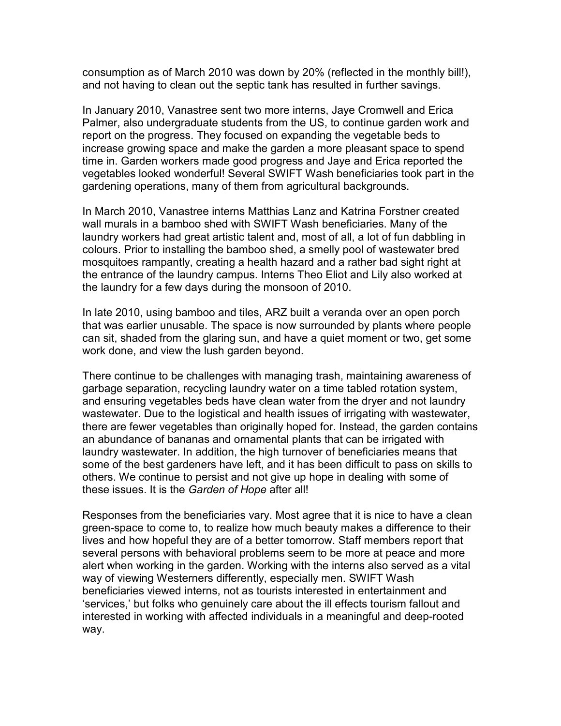consumption as of March 2010 was down by 20% (reflected in the monthly bill!), and not having to clean out the septic tank has resulted in further savings.

In January 2010, Vanastree sent two more interns, Jaye Cromwell and Erica Palmer, also undergraduate students from the US, to continue garden work and report on the progress. They focused on expanding the vegetable beds to increase growing space and make the garden a more pleasant space to spend time in. Garden workers made good progress and Jaye and Erica reported the vegetables looked wonderful! Several SWIFT Wash beneficiaries took part in the gardening operations, many of them from agricultural backgrounds.

In March 2010, Vanastree interns Matthias Lanz and Katrina Forstner created wall murals in a bamboo shed with SWIFT Wash beneficiaries. Many of the laundry workers had great artistic talent and, most of all, a lot of fun dabbling in colours. Prior to installing the bamboo shed, a smelly pool of wastewater bred mosquitoes rampantly, creating a health hazard and a rather bad sight right at the entrance of the laundry campus. Interns Theo Eliot and Lily also worked at the laundry for a few days during the monsoon of 2010.

In late 2010, using bamboo and tiles, ARZ built a veranda over an open porch that was earlier unusable. The space is now surrounded by plants where people can sit, shaded from the glaring sun, and have a quiet moment or two, get some work done, and view the lush garden beyond.

There continue to be challenges with managing trash, maintaining awareness of garbage separation, recycling laundry water on a time tabled rotation system, and ensuring vegetables beds have clean water from the dryer and not laundry wastewater. Due to the logistical and health issues of irrigating with wastewater, there are fewer vegetables than originally hoped for. Instead, the garden contains an abundance of bananas and ornamental plants that can be irrigated with laundry wastewater. In addition, the high turnover of beneficiaries means that some of the best gardeners have left, and it has been difficult to pass on skills to others. We continue to persist and not give up hope in dealing with some of these issues. It is the *Garden of Hope* after all!

Responses from the beneficiaries vary. Most agree that it is nice to have a clean green-space to come to, to realize how much beauty makes a difference to their lives and how hopeful they are of a better tomorrow. Staff members report that several persons with behavioral problems seem to be more at peace and more alert when working in the garden. Working with the interns also served as a vital way of viewing Westerners differently, especially men. SWIFT Wash beneficiaries viewed interns, not as tourists interested in entertainment and 'services,' but folks who genuinely care about the ill effects tourism fallout and interested in working with affected individuals in a meaningful and deep-rooted way.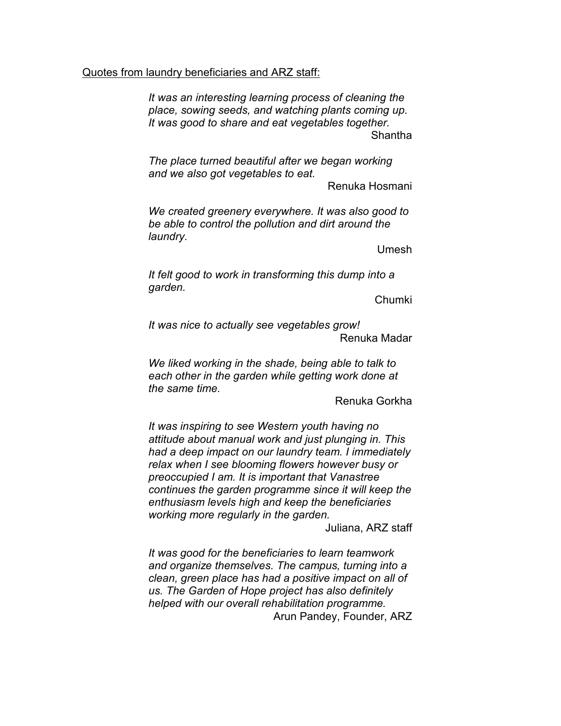## Quotes from laundry beneficiaries and ARZ staff:

*It was an interesting learning process of cleaning the place, sowing seeds, and watching plants coming up. It was good to share and eat vegetables together.* Shantha

*The place turned beautiful after we began working and we also got vegetables to eat.* 

Renuka Hosmani

*We created greenery everywhere. It was also good to be able to control the pollution and dirt around the laundry.* 

Umesh

*It felt good to work in transforming this dump into a garden.* 

Chumki

*It was nice to actually see vegetables grow!*  Renuka Madar

*We liked working in the shade, being able to talk to each other in the garden while getting work done at the same time.* 

Renuka Gorkha

*It was inspiring to see Western youth having no attitude about manual work and just plunging in. This had a deep impact on our laundry team. I immediately relax when I see blooming flowers however busy or preoccupied I am. It is important that Vanastree continues the garden programme since it will keep the enthusiasm levels high and keep the beneficiaries working more regularly in the garden.* 

Juliana, ARZ staff

*It was good for the beneficiaries to learn teamwork and organize themselves. The campus, turning into a clean, green place has had a positive impact on all of us. The Garden of Hope project has also definitely helped with our overall rehabilitation programme.*  Arun Pandey, Founder, ARZ